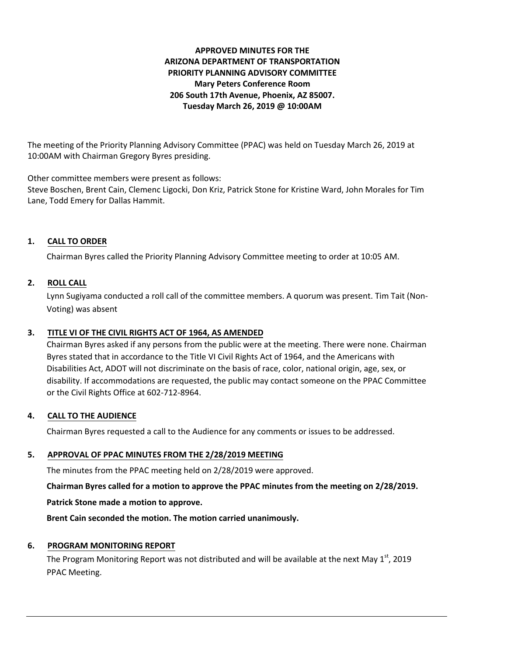## **APPROVED MINUTES FOR THE ARIZONA DEPARTMENT OF TRANSPORTATION PRIORITY PLANNING ADVISORY COMMITTEE Mary Peters Conference Room 206 South 17th Avenue, Phoenix, AZ 85007. Tuesday March 26, 2019 @ 10:00AM**

The meeting of the Priority Planning Advisory Committee (PPAC) was held on Tuesday March 26, 2019 at 10:00AM with Chairman Gregory Byres presiding.

Other committee members were present as follows:

Steve Boschen, Brent Cain, Clemenc Ligocki, Don Kriz, Patrick Stone for Kristine Ward, John Morales for Tim Lane, Todd Emery for Dallas Hammit.

# **1. CALL TO ORDER**

Chairman Byres called the Priority Planning Advisory Committee meeting to order at 10:05 AM.

# **2. ROLL CALL**

Lynn Sugiyama conducted a roll call of the committee members. A quorum was present. Tim Tait (Non-Voting) was absent

## **3. TITLE VI OF THE CIVIL RIGHTS ACT OF 1964, AS AMENDED**

Chairman Byres asked if any persons from the public were at the meeting. There were none. Chairman Byres stated that in accordance to the Title VI Civil Rights Act of 1964, and the Americans with Disabilities Act, ADOT will not discriminate on the basis of race, color, national origin, age, sex, or disability. If accommodations are requested, the public may contact someone on the PPAC Committee or the Civil Rights Office at 602-712-8964.

### **4. CALL TO THE AUDIENCE**

Chairman Byres requested a call to the Audience for any comments or issues to be addressed.

### **5. APPROVAL OF PPAC MINUTES FROM THE 2/28/2019 MEETING**

The minutes from the PPAC meeting held on 2/28/2019 were approved.

**Chairman Byres called for a motion to approve the PPAC minutes from the meeting on 2/28/2019. Patrick Stone made a motion to approve.**

**Brent Cain seconded the motion. The motion carried unanimously.**

### **6. PROGRAM MONITORING REPORT**

The Program Monitoring Report was not distributed and will be available at the next May 1<sup>st</sup>, 2019 PPAC Meeting.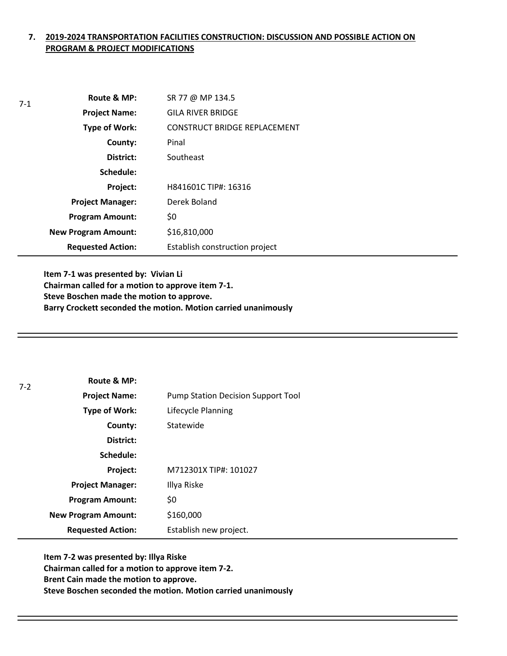## **7. 2019-2024 TRANSPORTATION FACILITIES CONSTRUCTION: DISCUSSION AND POSSIBLE ACTION ON PROGRAM & PROJECT MODIFICATIONS**

| $7-1$ | Route & MP:                | SR 77 @ MP 134.5               |
|-------|----------------------------|--------------------------------|
|       | <b>Project Name:</b>       | <b>GILA RIVER BRIDGE</b>       |
|       | Type of Work:              | CONSTRUCT BRIDGE REPLACEMENT   |
|       | County:                    | Pinal                          |
|       | District:                  | Southeast                      |
|       | Schedule:                  |                                |
|       | Project:                   | H841601C TIP#: 16316           |
|       | <b>Project Manager:</b>    | Derek Boland                   |
|       | <b>Program Amount:</b>     | \$0                            |
|       | <b>New Program Amount:</b> | \$16,810,000                   |
|       | <b>Requested Action:</b>   | Establish construction project |

**Item 7-1 was presented by: Vivian Li Chairman called for a motion to approve item 7-1. Steve Boschen made the motion to approve. Barry Crockett seconded the motion. Motion carried unanimously**

| $7-2$ | Route & MP:                |                                           |
|-------|----------------------------|-------------------------------------------|
|       | <b>Project Name:</b>       | <b>Pump Station Decision Support Tool</b> |
|       | Type of Work:              | Lifecycle Planning                        |
|       | County:                    | Statewide                                 |
|       | District:                  |                                           |
|       | Schedule:                  |                                           |
|       | Project:                   | M712301X TIP#: 101027                     |
|       | <b>Project Manager:</b>    | Illya Riske                               |
|       | <b>Program Amount:</b>     | \$0                                       |
|       | <b>New Program Amount:</b> | \$160,000                                 |
|       | <b>Requested Action:</b>   | Establish new project.                    |

**Item 7-2 was presented by: Illya Riske Chairman called for a motion to approve item 7-2. Brent Cain made the motion to approve. Steve Boschen seconded the motion. Motion carried unanimously**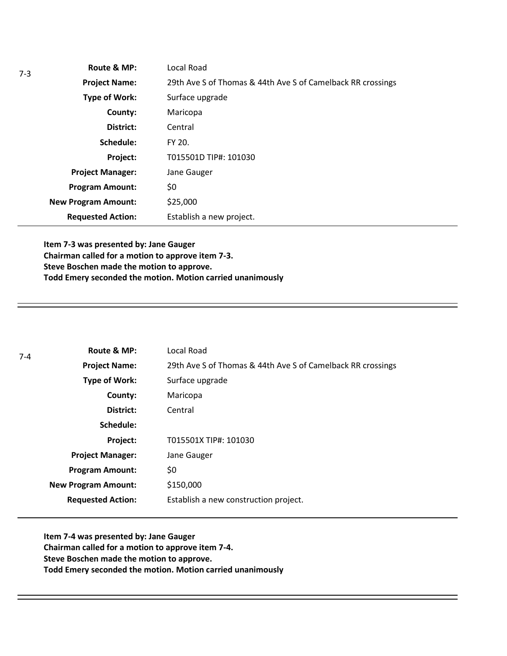|  | Route & MP:                | Local Road                                                  |  |
|--|----------------------------|-------------------------------------------------------------|--|
|  | <b>Project Name:</b>       | 29th Ave S of Thomas & 44th Ave S of Camelback RR crossings |  |
|  | <b>Type of Work:</b>       | Surface upgrade                                             |  |
|  | County:                    | Maricopa                                                    |  |
|  | District:                  | Central                                                     |  |
|  | Schedule:                  | FY 20.                                                      |  |
|  | Project:                   | T015501D TIP#: 101030                                       |  |
|  | <b>Project Manager:</b>    | Jane Gauger                                                 |  |
|  | <b>Program Amount:</b>     | \$0                                                         |  |
|  | <b>New Program Amount:</b> | \$25,000                                                    |  |
|  | <b>Requested Action:</b>   | Establish a new project.                                    |  |

**Item 7-3 was presented by: Jane Gauger Chairman called for a motion to approve item 7-3. Steve Boschen made the motion to approve. Todd Emery seconded the motion. Motion carried unanimously**

| $7-4$ | Route & MP:                | Local Road                                                  |
|-------|----------------------------|-------------------------------------------------------------|
|       | <b>Project Name:</b>       | 29th Ave S of Thomas & 44th Ave S of Camelback RR crossings |
|       | Type of Work:              | Surface upgrade                                             |
|       | County:                    | Maricopa                                                    |
|       | District:                  | Central                                                     |
|       | Schedule:                  |                                                             |
|       | Project:                   | T015501X TIP#: 101030                                       |
|       | <b>Project Manager:</b>    | Jane Gauger                                                 |
|       | <b>Program Amount:</b>     | \$0                                                         |
|       | <b>New Program Amount:</b> | \$150,000                                                   |
|       | <b>Requested Action:</b>   | Establish a new construction project.                       |
|       |                            |                                                             |

**Item 7-4 was presented by: Jane Gauger Chairman called for a motion to approve item 7-4. Steve Boschen made the motion to approve. Todd Emery seconded the motion. Motion carried unanimously**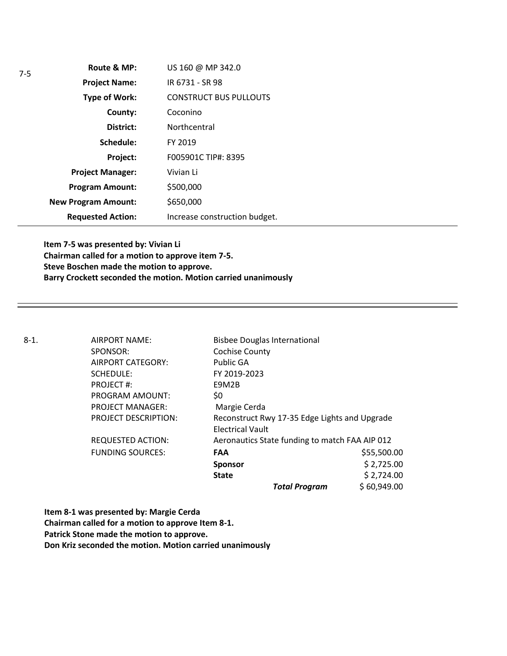| Route & MP:                | US 160 @ MP 342.0             |
|----------------------------|-------------------------------|
| <b>Project Name:</b>       | IR 6731 - SR 98               |
| <b>Type of Work:</b>       | <b>CONSTRUCT BUS PULLOUTS</b> |
| County:                    | Coconino                      |
| District:                  | Northcentral                  |
| Schedule:                  | FY 2019                       |
| Project:                   | F005901C TIP#: 8395           |
| <b>Project Manager:</b>    | Vivian Li                     |
| <b>Program Amount:</b>     | \$500,000                     |
| <b>New Program Amount:</b> | \$650,000                     |
| <b>Requested Action:</b>   | Increase construction budget. |

**Item 7-5 was presented by: Vivian Li Chairman called for a motion to approve item 7-5. Steve Boschen made the motion to approve. Barry Crockett seconded the motion. Motion carried unanimously**

8-1. AIRPORT NAME: Bisbee Douglas International SPONSOR: Cochise County AIRPORT CATEGORY: Public GA SCHEDULE: FY 2019-2023 PROJECT #: E9M2B PROGRAM AMOUNT: \$0 PROJECT MANAGER: Margie Cerda PROJECT DESCRIPTION: Reconstruct Rwy 17-35 Edge Lights and Upgrade Electrical Vault REQUESTED ACTION: Aeronautics State funding to match FAA AIP 012 FUNDING SOURCES: **FAA** \$55,500.00 **Sponsor**  $\frac{1}{2}$  \$ 2,725.00 **State**  $\begin{array}{ccc} 52,724.00 \end{array}$ *Total Program* \$ 60,949.00

**Item 8-1 was presented by: Margie Cerda Chairman called for a motion to approve Item 8-1. Patrick Stone made the motion to approve.**

**Don Kriz seconded the motion. Motion carried unanimously**